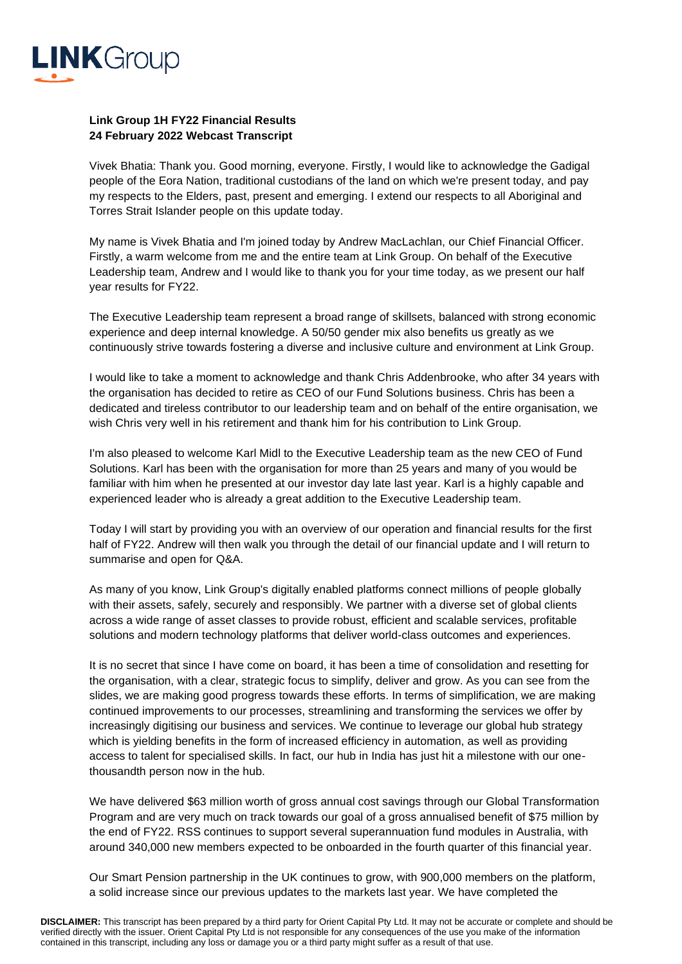

## **Link Group 1H FY22 Financial Results 24 February 2022 Webcast Transcript**

Vivek Bhatia: Thank you. Good morning, everyone. Firstly, I would like to acknowledge the Gadigal people of the Eora Nation, traditional custodians of the land on which we're present today, and pay my respects to the Elders, past, present and emerging. I extend our respects to all Aboriginal and Torres Strait Islander people on this update today.

My name is Vivek Bhatia and I'm joined today by Andrew MacLachlan, our Chief Financial Officer. Firstly, a warm welcome from me and the entire team at Link Group. On behalf of the Executive Leadership team, Andrew and I would like to thank you for your time today, as we present our half year results for FY22.

The Executive Leadership team represent a broad range of skillsets, balanced with strong economic experience and deep internal knowledge. A 50/50 gender mix also benefits us greatly as we continuously strive towards fostering a diverse and inclusive culture and environment at Link Group.

I would like to take a moment to acknowledge and thank Chris Addenbrooke, who after 34 years with the organisation has decided to retire as CEO of our Fund Solutions business. Chris has been a dedicated and tireless contributor to our leadership team and on behalf of the entire organisation, we wish Chris very well in his retirement and thank him for his contribution to Link Group.

I'm also pleased to welcome Karl Midl to the Executive Leadership team as the new CEO of Fund Solutions. Karl has been with the organisation for more than 25 years and many of you would be familiar with him when he presented at our investor day late last year. Karl is a highly capable and experienced leader who is already a great addition to the Executive Leadership team.

Today I will start by providing you with an overview of our operation and financial results for the first half of FY22. Andrew will then walk you through the detail of our financial update and I will return to summarise and open for Q&A.

As many of you know, Link Group's digitally enabled platforms connect millions of people globally with their assets, safely, securely and responsibly. We partner with a diverse set of global clients across a wide range of asset classes to provide robust, efficient and scalable services, profitable solutions and modern technology platforms that deliver world-class outcomes and experiences.

It is no secret that since I have come on board, it has been a time of consolidation and resetting for the organisation, with a clear, strategic focus to simplify, deliver and grow. As you can see from the slides, we are making good progress towards these efforts. In terms of simplification, we are making continued improvements to our processes, streamlining and transforming the services we offer by increasingly digitising our business and services. We continue to leverage our global hub strategy which is yielding benefits in the form of increased efficiency in automation, as well as providing access to talent for specialised skills. In fact, our hub in India has just hit a milestone with our onethousandth person now in the hub.

We have delivered \$63 million worth of gross annual cost savings through our Global Transformation Program and are very much on track towards our goal of a gross annualised benefit of \$75 million by the end of FY22. RSS continues to support several superannuation fund modules in Australia, with around 340,000 new members expected to be onboarded in the fourth quarter of this financial year.

Our Smart Pension partnership in the UK continues to grow, with 900,000 members on the platform, a solid increase since our previous updates to the markets last year. We have completed the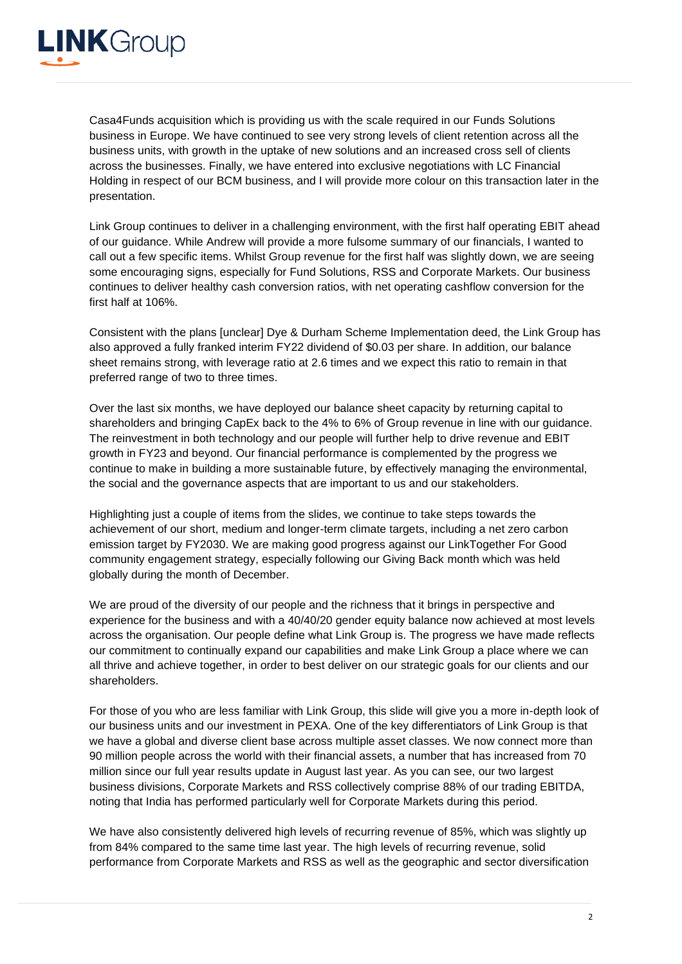

Casa4Funds acquisition which is providing us with the scale required in our Funds Solutions business in Europe. We have continued to see very strong levels of client retention across all the business units, with growth in the uptake of new solutions and an increased cross sell of clients across the businesses. Finally, we have entered into exclusive negotiations with LC Financial Holding in respect of our BCM business, and I will provide more colour on this transaction later in the presentation.

Link Group continues to deliver in a challenging environment, with the first half operating EBIT ahead of our guidance. While Andrew will provide a more fulsome summary of our financials, I wanted to call out a few specific items. Whilst Group revenue for the first half was slightly down, we are seeing some encouraging signs, especially for Fund Solutions, RSS and Corporate Markets. Our business continues to deliver healthy cash conversion ratios, with net operating cashflow conversion for the first half at 106%.

Consistent with the plans [unclear] Dye & Durham Scheme Implementation deed, the Link Group has also approved a fully franked interim FY22 dividend of \$0.03 per share. In addition, our balance sheet remains strong, with leverage ratio at 2.6 times and we expect this ratio to remain in that preferred range of two to three times.

Over the last six months, we have deployed our balance sheet capacity by returning capital to shareholders and bringing CapEx back to the 4% to 6% of Group revenue in line with our guidance. The reinvestment in both technology and our people will further help to drive revenue and EBIT growth in FY23 and beyond. Our financial performance is complemented by the progress we continue to make in building a more sustainable future, by effectively managing the environmental, the social and the governance aspects that are important to us and our stakeholders.

Highlighting just a couple of items from the slides, we continue to take steps towards the achievement of our short, medium and longer-term climate targets, including a net zero carbon emission target by FY2030. We are making good progress against our LinkTogether For Good community engagement strategy, especially following our Giving Back month which was held globally during the month of December.

We are proud of the diversity of our people and the richness that it brings in perspective and experience for the business and with a 40/40/20 gender equity balance now achieved at most levels across the organisation. Our people define what Link Group is. The progress we have made reflects our commitment to continually expand our capabilities and make Link Group a place where we can all thrive and achieve together, in order to best deliver on our strategic goals for our clients and our shareholders.

For those of you who are less familiar with Link Group, this slide will give you a more in-depth look of our business units and our investment in PEXA. One of the key differentiators of Link Group is that we have a global and diverse client base across multiple asset classes. We now connect more than 90 million people across the world with their financial assets, a number that has increased from 70 million since our full year results update in August last year. As you can see, our two largest business divisions, Corporate Markets and RSS collectively comprise 88% of our trading EBITDA, noting that India has performed particularly well for Corporate Markets during this period.

We have also consistently delivered high levels of recurring revenue of 85%, which was slightly up from 84% compared to the same time last year. The high levels of recurring revenue, solid performance from Corporate Markets and RSS as well as the geographic and sector diversification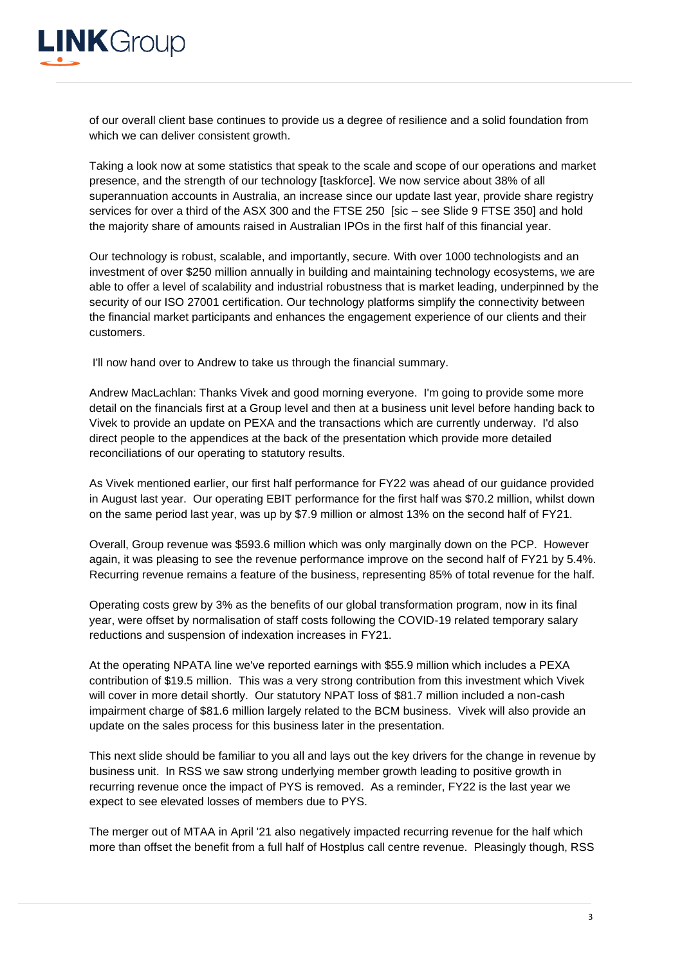

of our overall client base continues to provide us a degree of resilience and a solid foundation from which we can deliver consistent growth.

Taking a look now at some statistics that speak to the scale and scope of our operations and market presence, and the strength of our technology [taskforce]. We now service about 38% of all superannuation accounts in Australia, an increase since our update last year, provide share registry services for over a third of the ASX 300 and the FTSE 250 [sic – see Slide 9 FTSE 350] and hold the majority share of amounts raised in Australian IPOs in the first half of this financial year.

Our technology is robust, scalable, and importantly, secure. With over 1000 technologists and an investment of over \$250 million annually in building and maintaining technology ecosystems, we are able to offer a level of scalability and industrial robustness that is market leading, underpinned by the security of our ISO 27001 certification. Our technology platforms simplify the connectivity between the financial market participants and enhances the engagement experience of our clients and their customers.

I'll now hand over to Andrew to take us through the financial summary.

Andrew MacLachlan: Thanks Vivek and good morning everyone. I'm going to provide some more detail on the financials first at a Group level and then at a business unit level before handing back to Vivek to provide an update on PEXA and the transactions which are currently underway. I'd also direct people to the appendices at the back of the presentation which provide more detailed reconciliations of our operating to statutory results.

As Vivek mentioned earlier, our first half performance for FY22 was ahead of our guidance provided in August last year. Our operating EBIT performance for the first half was \$70.2 million, whilst down on the same period last year, was up by \$7.9 million or almost 13% on the second half of FY21.

Overall, Group revenue was \$593.6 million which was only marginally down on the PCP. However again, it was pleasing to see the revenue performance improve on the second half of FY21 by 5.4%. Recurring revenue remains a feature of the business, representing 85% of total revenue for the half.

Operating costs grew by 3% as the benefits of our global transformation program, now in its final year, were offset by normalisation of staff costs following the COVID-19 related temporary salary reductions and suspension of indexation increases in FY21.

At the operating NPATA line we've reported earnings with \$55.9 million which includes a PEXA contribution of \$19.5 million. This was a very strong contribution from this investment which Vivek will cover in more detail shortly. Our statutory NPAT loss of \$81.7 million included a non-cash impairment charge of \$81.6 million largely related to the BCM business. Vivek will also provide an update on the sales process for this business later in the presentation.

This next slide should be familiar to you all and lays out the key drivers for the change in revenue by business unit. In RSS we saw strong underlying member growth leading to positive growth in recurring revenue once the impact of PYS is removed. As a reminder, FY22 is the last year we expect to see elevated losses of members due to PYS.

The merger out of MTAA in April '21 also negatively impacted recurring revenue for the half which more than offset the benefit from a full half of Hostplus call centre revenue. Pleasingly though, RSS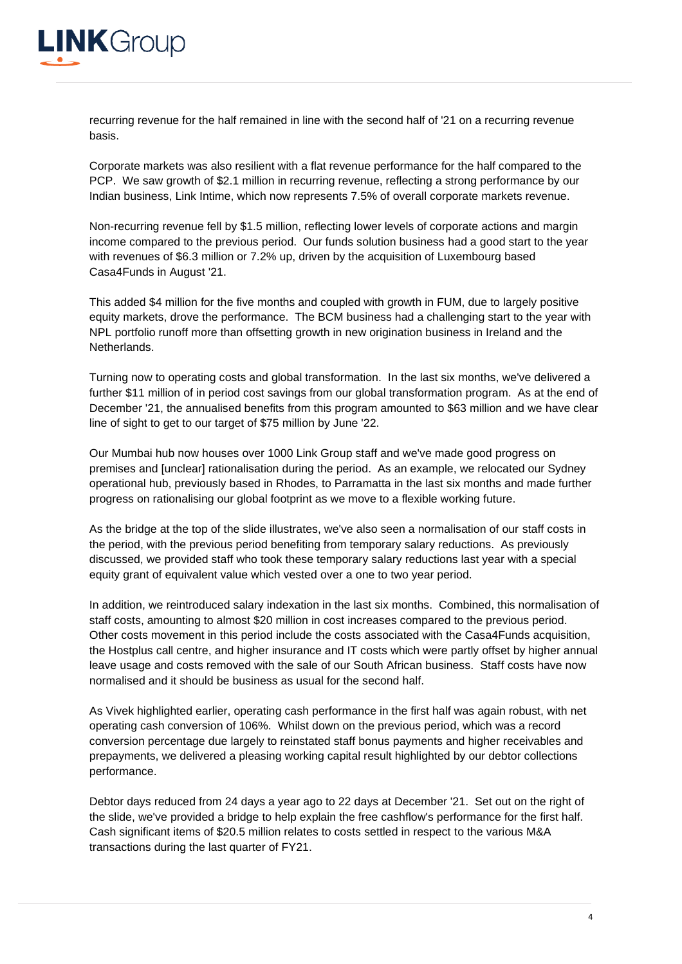

recurring revenue for the half remained in line with the second half of '21 on a recurring revenue basis.

Corporate markets was also resilient with a flat revenue performance for the half compared to the PCP. We saw growth of \$2.1 million in recurring revenue, reflecting a strong performance by our Indian business, Link Intime, which now represents 7.5% of overall corporate markets revenue.

Non-recurring revenue fell by \$1.5 million, reflecting lower levels of corporate actions and margin income compared to the previous period. Our funds solution business had a good start to the year with revenues of \$6.3 million or 7.2% up, driven by the acquisition of Luxembourg based Casa4Funds in August '21.

This added \$4 million for the five months and coupled with growth in FUM, due to largely positive equity markets, drove the performance. The BCM business had a challenging start to the year with NPL portfolio runoff more than offsetting growth in new origination business in Ireland and the Netherlands.

Turning now to operating costs and global transformation. In the last six months, we've delivered a further \$11 million of in period cost savings from our global transformation program. As at the end of December '21, the annualised benefits from this program amounted to \$63 million and we have clear line of sight to get to our target of \$75 million by June '22.

Our Mumbai hub now houses over 1000 Link Group staff and we've made good progress on premises and [unclear] rationalisation during the period. As an example, we relocated our Sydney operational hub, previously based in Rhodes, to Parramatta in the last six months and made further progress on rationalising our global footprint as we move to a flexible working future.

As the bridge at the top of the slide illustrates, we've also seen a normalisation of our staff costs in the period, with the previous period benefiting from temporary salary reductions. As previously discussed, we provided staff who took these temporary salary reductions last year with a special equity grant of equivalent value which vested over a one to two year period.

In addition, we reintroduced salary indexation in the last six months. Combined, this normalisation of staff costs, amounting to almost \$20 million in cost increases compared to the previous period. Other costs movement in this period include the costs associated with the Casa4Funds acquisition, the Hostplus call centre, and higher insurance and IT costs which were partly offset by higher annual leave usage and costs removed with the sale of our South African business. Staff costs have now normalised and it should be business as usual for the second half.

As Vivek highlighted earlier, operating cash performance in the first half was again robust, with net operating cash conversion of 106%. Whilst down on the previous period, which was a record conversion percentage due largely to reinstated staff bonus payments and higher receivables and prepayments, we delivered a pleasing working capital result highlighted by our debtor collections performance.

Debtor days reduced from 24 days a year ago to 22 days at December '21. Set out on the right of the slide, we've provided a bridge to help explain the free cashflow's performance for the first half. Cash significant items of \$20.5 million relates to costs settled in respect to the various M&A transactions during the last quarter of FY21.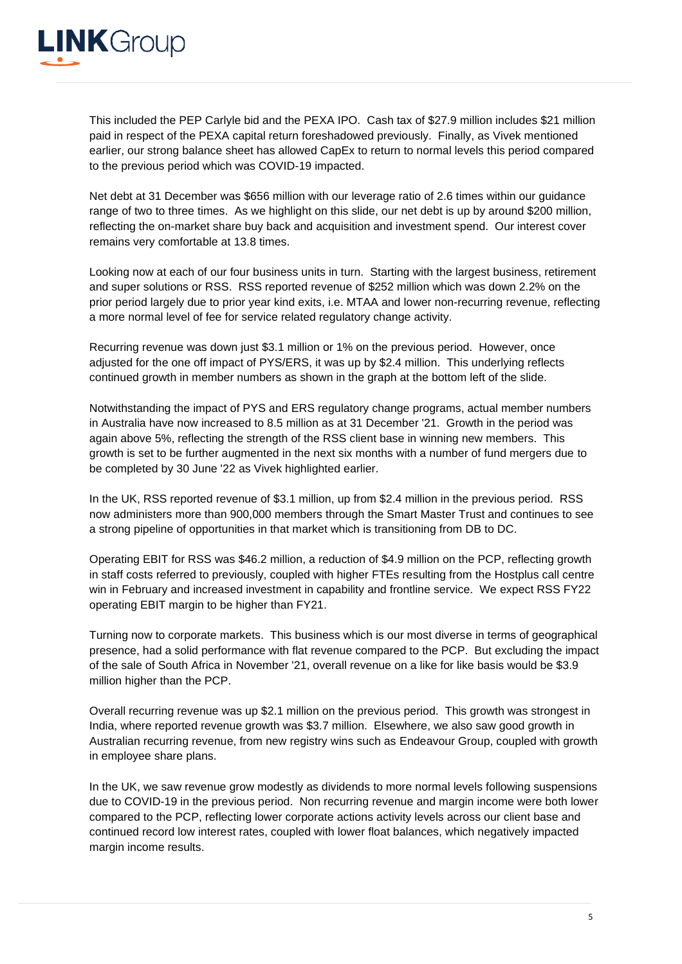

This included the PEP Carlyle bid and the PEXA IPO. Cash tax of \$27.9 million includes \$21 million paid in respect of the PEXA capital return foreshadowed previously. Finally, as Vivek mentioned earlier, our strong balance sheet has allowed CapEx to return to normal levels this period compared to the previous period which was COVID-19 impacted.

Net debt at 31 December was \$656 million with our leverage ratio of 2.6 times within our guidance range of two to three times. As we highlight on this slide, our net debt is up by around \$200 million, reflecting the on-market share buy back and acquisition and investment spend. Our interest cover remains very comfortable at 13.8 times.

Looking now at each of our four business units in turn. Starting with the largest business, retirement and super solutions or RSS. RSS reported revenue of \$252 million which was down 2.2% on the prior period largely due to prior year kind exits, i.e. MTAA and lower non-recurring revenue, reflecting a more normal level of fee for service related regulatory change activity.

Recurring revenue was down just \$3.1 million or 1% on the previous period. However, once adjusted for the one off impact of PYS/ERS, it was up by \$2.4 million. This underlying reflects continued growth in member numbers as shown in the graph at the bottom left of the slide.

Notwithstanding the impact of PYS and ERS regulatory change programs, actual member numbers in Australia have now increased to 8.5 million as at 31 December '21. Growth in the period was again above 5%, reflecting the strength of the RSS client base in winning new members. This growth is set to be further augmented in the next six months with a number of fund mergers due to be completed by 30 June '22 as Vivek highlighted earlier.

In the UK, RSS reported revenue of \$3.1 million, up from \$2.4 million in the previous period. RSS now administers more than 900,000 members through the Smart Master Trust and continues to see a strong pipeline of opportunities in that market which is transitioning from DB to DC.

Operating EBIT for RSS was \$46.2 million, a reduction of \$4.9 million on the PCP, reflecting growth in staff costs referred to previously, coupled with higher FTEs resulting from the Hostplus call centre win in February and increased investment in capability and frontline service. We expect RSS FY22 operating EBIT margin to be higher than FY21.

Turning now to corporate markets. This business which is our most diverse in terms of geographical presence, had a solid performance with flat revenue compared to the PCP. But excluding the impact of the sale of South Africa in November '21, overall revenue on a like for like basis would be \$3.9 million higher than the PCP.

Overall recurring revenue was up \$2.1 million on the previous period. This growth was strongest in India, where reported revenue growth was \$3.7 million. Elsewhere, we also saw good growth in Australian recurring revenue, from new registry wins such as Endeavour Group, coupled with growth in employee share plans.

In the UK, we saw revenue grow modestly as dividends to more normal levels following suspensions due to COVID-19 in the previous period. Non recurring revenue and margin income were both lower compared to the PCP, reflecting lower corporate actions activity levels across our client base and continued record low interest rates, coupled with lower float balances, which negatively impacted margin income results.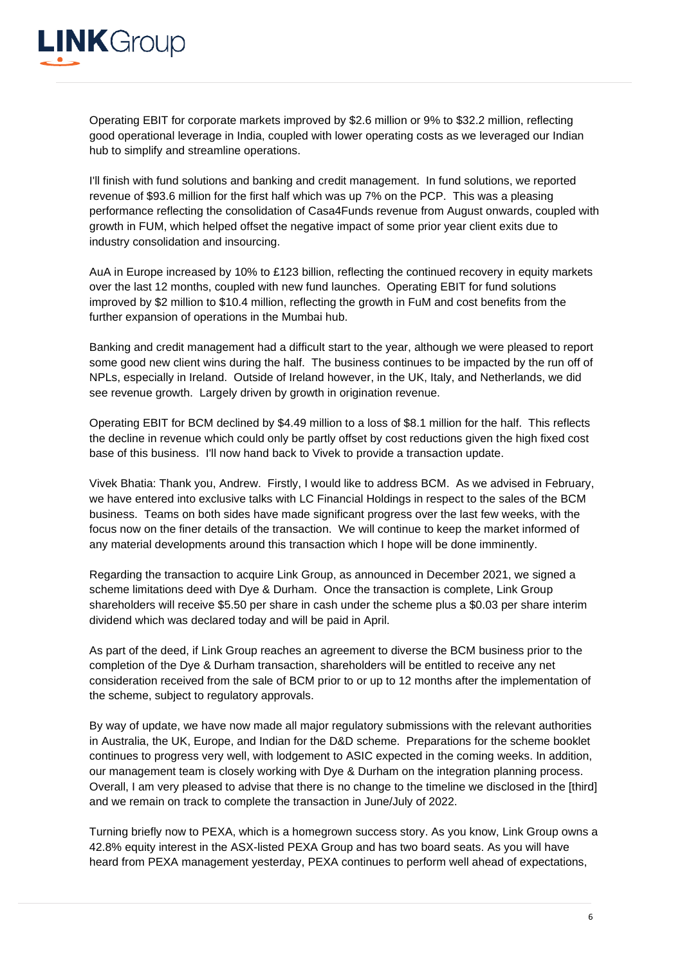

Operating EBIT for corporate markets improved by \$2.6 million or 9% to \$32.2 million, reflecting good operational leverage in India, coupled with lower operating costs as we leveraged our Indian hub to simplify and streamline operations.

I'll finish with fund solutions and banking and credit management. In fund solutions, we reported revenue of \$93.6 million for the first half which was up 7% on the PCP. This was a pleasing performance reflecting the consolidation of Casa4Funds revenue from August onwards, coupled with growth in FUM, which helped offset the negative impact of some prior year client exits due to industry consolidation and insourcing.

AuA in Europe increased by 10% to £123 billion, reflecting the continued recovery in equity markets over the last 12 months, coupled with new fund launches. Operating EBIT for fund solutions improved by \$2 million to \$10.4 million, reflecting the growth in FuM and cost benefits from the further expansion of operations in the Mumbai hub.

Banking and credit management had a difficult start to the year, although we were pleased to report some good new client wins during the half. The business continues to be impacted by the run off of NPLs, especially in Ireland. Outside of Ireland however, in the UK, Italy, and Netherlands, we did see revenue growth. Largely driven by growth in origination revenue.

Operating EBIT for BCM declined by \$4.49 million to a loss of \$8.1 million for the half. This reflects the decline in revenue which could only be partly offset by cost reductions given the high fixed cost base of this business. I'll now hand back to Vivek to provide a transaction update.

Vivek Bhatia: Thank you, Andrew. Firstly, I would like to address BCM. As we advised in February, we have entered into exclusive talks with LC Financial Holdings in respect to the sales of the BCM business. Teams on both sides have made significant progress over the last few weeks, with the focus now on the finer details of the transaction. We will continue to keep the market informed of any material developments around this transaction which I hope will be done imminently.

Regarding the transaction to acquire Link Group, as announced in December 2021, we signed a scheme limitations deed with Dye & Durham. Once the transaction is complete, Link Group shareholders will receive \$5.50 per share in cash under the scheme plus a \$0.03 per share interim dividend which was declared today and will be paid in April.

As part of the deed, if Link Group reaches an agreement to diverse the BCM business prior to the completion of the Dye & Durham transaction, shareholders will be entitled to receive any net consideration received from the sale of BCM prior to or up to 12 months after the implementation of the scheme, subject to regulatory approvals.

By way of update, we have now made all major regulatory submissions with the relevant authorities in Australia, the UK, Europe, and Indian for the D&D scheme. Preparations for the scheme booklet continues to progress very well, with lodgement to ASIC expected in the coming weeks. In addition, our management team is closely working with Dye & Durham on the integration planning process. Overall, I am very pleased to advise that there is no change to the timeline we disclosed in the [third] and we remain on track to complete the transaction in June/July of 2022.

Turning briefly now to PEXA, which is a homegrown success story. As you know, Link Group owns a 42.8% equity interest in the ASX-listed PEXA Group and has two board seats. As you will have heard from PEXA management yesterday, PEXA continues to perform well ahead of expectations,